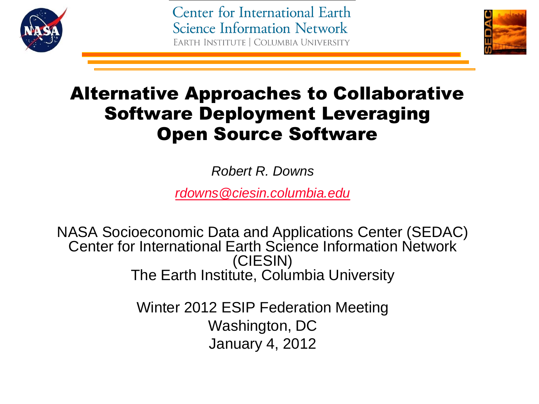

Center for International Earth **Science Information Network** EARTH INSTITUTE | COLUMBIA UNIVERSITY



## Alternative Approaches to Collaborative Software Deployment Leveraging Open Source Software

*Robert R. Downs* 

*[rdowns@ciesin.columbia.edu](mailto:rdowns@ciesin.columbia.edu)*

NASA Socioeconomic Data and Applications Center (SEDAC) Center for International Earth Science Information Network (CIESIN) The Earth Institute, Columbia University

> Winter 2012 ESIP Federation Meeting Washington, DC January 4, 2012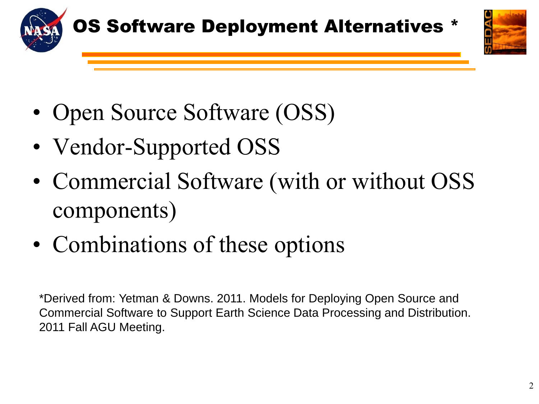



- Open Source Software (OSS)
- Vendor-Supported OSS
- Commercial Software (with or without OSS components)
- Combinations of these options

\*Derived from: Yetman & Downs. 2011. Models for Deploying Open Source and Commercial Software to Support Earth Science Data Processing and Distribution. 2011 Fall AGU Meeting.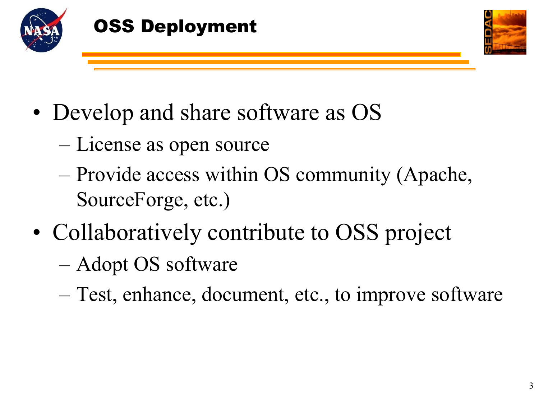



- Develop and share software as OS
	- License as open source
	- Provide access within OS community (Apache, SourceForge, etc.)
- Collaboratively contribute to OSS project
	- Adopt OS software
	- Test, enhance, document, etc., to improve software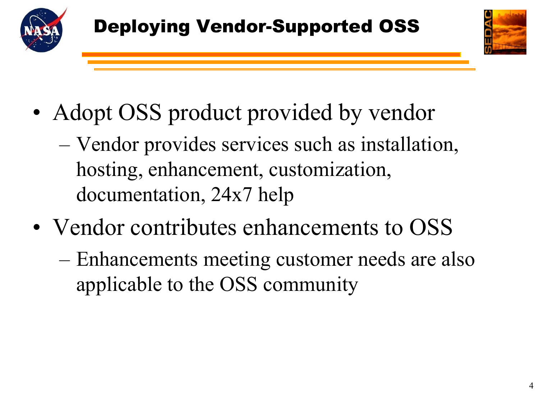



- Adopt OSS product provided by vendor
	- Vendor provides services such as installation, hosting, enhancement, customization, documentation, 24x7 help
- Vendor contributes enhancements to OSS
	- Enhancements meeting customer needs are also applicable to the OSS community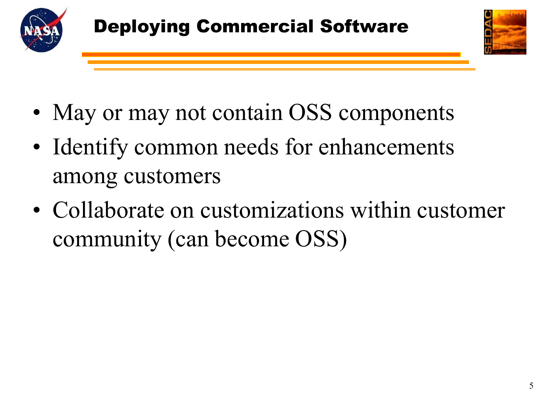



- May or may not contain OSS components
- Identify common needs for enhancements among customers
- Collaborate on customizations within customer community (can become OSS)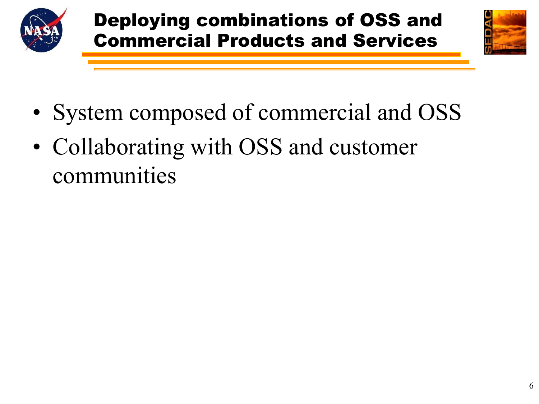



- System composed of commercial and OSS
- Collaborating with OSS and customer communities